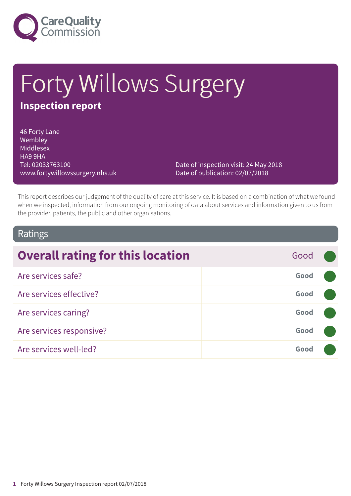

# Forty Willows Surgery **Inspection report**

46 Forty Lane Wembley Middlesex HA9 9HA Tel: 02033763100 www.fortywillowssurgery.nhs.uk

Date of inspection visit: 24 May 2018 Date of publication: 02/07/2018

This report describes our judgement of the quality of care at this service. It is based on a combination of what we found when we inspected, information from our ongoing monitoring of data about services and information given to us from the provider, patients, the public and other organisations.

### Ratings

| <b>Overall rating for this location</b> | Good |  |
|-----------------------------------------|------|--|
| Are services safe?                      | Good |  |
| Are services effective?                 | Good |  |
| Are services caring?                    | Good |  |
| Are services responsive?                | Good |  |
| Are services well-led?                  | Good |  |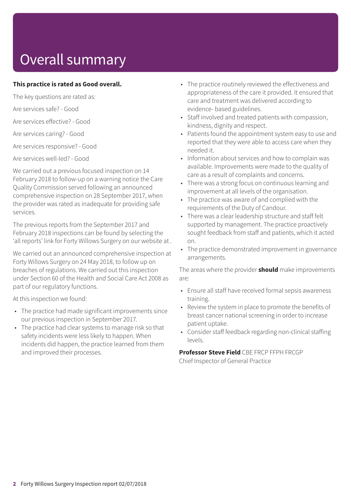# Overall summary

### **This practice is rated as Good overall.**

The key questions are rated as:

Are services safe? - Good

Are services effective? - Good

Are services caring? - Good

Are services responsive? - Good

Are services well-led? - Good

We carried out a previous focused inspection on 14 February 2018 to follow-up on a warning notice the Care Quality Commission served following an announced comprehensive inspection on 28 September 2017, when the provider was rated as inadequate for providing safe services.

The previous reports from the September 2017 and February 2018 inspections can be found by selecting the 'all reports' link for Forty Willows Surgery on our website at .

We carried out an announced comprehensive inspection at Forty Willows Surgery on 24 May 2018, to follow up on breaches of regulations. We carried out this inspection under Section 60 of the Health and Social Care Act 2008 as part of our regulatory functions.

At this inspection we found:

- The practice had made significant improvements since our previous inspection in September 2017.
- The practice had clear systems to manage risk so that safety incidents were less likely to happen. When incidents did happen, the practice learned from them and improved their processes.
- The practice routinely reviewed the effectiveness and appropriateness of the care it provided. It ensured that care and treatment was delivered according to evidence- based guidelines.
- Staff involved and treated patients with compassion, kindness, dignity and respect.
- Patients found the appointment system easy to use and reported that they were able to access care when they needed it.
- Information about services and how to complain was available. Improvements were made to the quality of care as a result of complaints and concerns.
- There was a strong focus on continuous learning and improvement at all levels of the organisation.
- The practice was aware of and complied with the requirements of the Duty of Candour.
- There was a clear leadership structure and staff felt supported by management. The practice proactively sought feedback from staff and patients, which it acted on.
- The practice demonstrated improvement in governance arrangements.

The areas where the provider **should** make improvements are:

- Ensure all staff have received formal sepsis awareness training.
- Review the system in place to promote the benefits of breast cancer national screening in order to increase patient uptake.
- Consider staff feedback regarding non-clinical staffing levels.

**Professor Steve Field** CBE FRCP FFPH FRCGP Chief Inspector of General Practice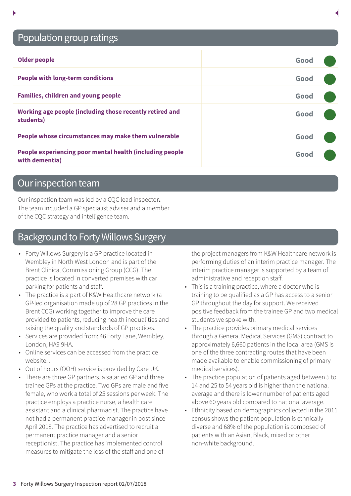## Population group ratings

| <b>Older people</b>                                                        | Good |  |
|----------------------------------------------------------------------------|------|--|
| <b>People with long-term conditions</b>                                    | Good |  |
| <b>Families, children and young people</b>                                 | Good |  |
| Working age people (including those recently retired and<br>students)      | Good |  |
| People whose circumstances may make them vulnerable                        | Good |  |
| People experiencing poor mental health (including people<br>with dementia) | Good |  |

## Our inspection team

Our inspection team was led by a CQC lead inspector**.** The team included a GP specialist adviser and a member of the CQC strategy and intelligence team.

## Background to Forty Willows Surgery

- Forty Willows Surgery is a GP practice located in Wembley in North West London and is part of the Brent Clinical Commissioning Group (CCG). The practice is located in converted premises with car parking for patients and staff.
- The practice is a part of K&W Healthcare network (a GP-led organisation made up of 28 GP practices in the Brent CCG) working together to improve the care provided to patients, reducing health inequalities and raising the quality and standards of GP practices.
- Services are provided from: 46 Forty Lane, Wembley, London, HA9 9HA.
- Online services can be accessed from the practice website: .
- Out of hours (OOH) service is provided by Care UK.
- There are three GP partners, a salaried GP and three trainee GPs at the practice. Two GPs are male and five female, who work a total of 25 sessions per week. The practice employs a practice nurse, a health care assistant and a clinical pharmacist. The practice have not had a permanent practice manager in post since April 2018. The practice has advertised to recruit a permanent practice manager and a senior receptionist. The practice has implemented control measures to mitigate the loss of the staff and one of

the project managers from K&W Healthcare network is performing duties of an interim practice manager. The interim practice manager is supported by a team of administrative and reception staff.

- This is a training practice, where a doctor who is training to be qualified as a GP has access to a senior GP throughout the day for support. We received positive feedback from the trainee GP and two medical students we spoke with.
- The practice provides primary medical services through a General Medical Services (GMS) contract to approximately 6,660 patients in the local area (GMS is one of the three contracting routes that have been made available to enable commissioning of primary medical services).
- The practice population of patients aged between 5 to 14 and 25 to 54 years old is higher than the national average and there is lower number of patients aged above 60 years old compared to national average.
- Ethnicity based on demographics collected in the 2011 census shows the patient population is ethnically diverse and 68% of the population is composed of patients with an Asian, Black, mixed or other non-white background.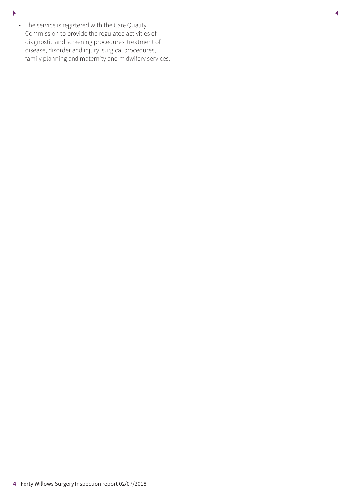- $\blacktriangleright$
- The service is registered with the Care Quality Commission to provide the regulated activities of diagnostic and screening procedures, treatment of disease, disorder and injury, surgical procedures, family planning and maternity and midwifery services.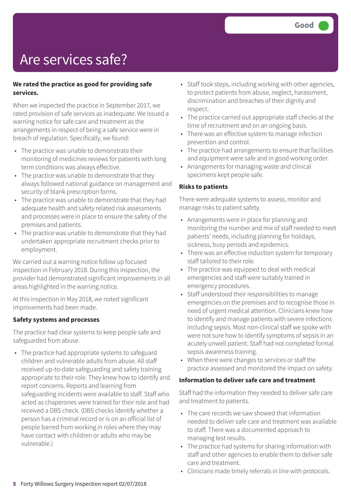# Are services safe?

### **We rated the practice as good for providing safe services.**

When we inspected the practice in September 2017, we rated provision of safe services as inadequate. We issued a warning notice for safe care and treatment as the arrangements in respect of being a safe service were in breach of regulation. Specifically, we found:

- The practice was unable to demonstrate their monitoring of medicines reviews for patients with long term conditions was always effective.
- The practice was unable to demonstrate that they always followed national guidance on management and security of blank prescription forms.
- The practice was unable to demonstrate that they had adequate health and safety related risk assessments and processes were in place to ensure the safety of the premises and patients.
- The practice was unable to demonstrate that they had undertaken appropriate recruitment checks prior to employment.

We carried out a warning notice follow up focused inspection in February 2018. During this inspection, the provider had demonstrated significant improvements in all areas highlighted in the warning notice.

At this inspection in May 2018, we noted significant improvements had been made.

### **Safety systems and processes**

The practice had clear systems to keep people safe and safeguarded from abuse.

• The practice had appropriate systems to safeguard children and vulnerable adults from abuse. All staff received up-to-date safeguarding and safety training appropriate to their role. They knew how to identify and report concerns. Reports and learning from safeguarding incidents were available to staff. Staff who acted as chaperones were trained for their role and had received a DBS check. (DBS checks identify whether a person has a criminal record or is on an official list of people barred from working in roles where they may have contact with children or adults who may be vulnerable.)

- Staff took steps, including working with other agencies, to protect patients from abuse, neglect, harassment, discrimination and breaches of their dignity and respect.
- The practice carried out appropriate staff checks at the time of recruitment and on an ongoing basis.
- There was an effective system to manage infection prevention and control.
- The practice had arrangements to ensure that facilities and equipment were safe and in good working order.
- Arrangements for managing waste and clinical specimens kept people safe.

### **Risks to patients**

There were adequate systems to assess, monitor and manage risks to patient safety.

- Arrangements were in place for planning and monitoring the number and mix of staff needed to meet patients' needs, including planning for holidays, sickness, busy periods and epidemics.
- There was an effective induction system for temporary staff tailored to their role.
- The practice was equipped to deal with medical emergencies and staff were suitably trained in emergency procedures.
- Staff understood their responsibilities to manage emergencies on the premises and to recognise those in need of urgent medical attention. Clinicians knew how to identify and manage patients with severe infections including sepsis. Most non-clinical staff we spoke with were not sure how to identify symptoms of sepsis in an acutely unwell patient. Staff had not completed formal sepsis awareness training.
- When there were changes to services or staff the practice assessed and monitored the impact on safety.

### **Information to deliver safe care and treatment**

Staff had the information they needed to deliver safe care and treatment to patients.

- The care records we saw showed that information needed to deliver safe care and treatment was available to staff. There was a documented approach to managing test results.
- The practice had systems for sharing information with staff and other agencies to enable them to deliver safe care and treatment.
- Clinicians made timely referrals in line with protocols.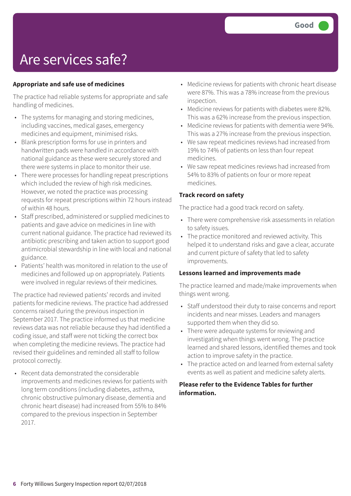# Are services safe?

### **Appropriate and safe use of medicines**

The practice had reliable systems for appropriate and safe handling of medicines.

- The systems for managing and storing medicines, including vaccines, medical gases, emergency medicines and equipment, minimised risks.
- Blank prescription forms for use in printers and handwritten pads were handled in accordance with national guidance as these were securely stored and there were systems in place to monitor their use.
- There were processes for handling repeat prescriptions which included the review of high risk medicines. However, we noted the practice was processing requests for repeat prescriptions within 72 hours instead of within 48 hours.
- Staff prescribed, administered or supplied medicines to patients and gave advice on medicines in line with current national guidance. The practice had reviewed its antibiotic prescribing and taken action to support good antimicrobial stewardship in line with local and national guidance.
- Patients' health was monitored in relation to the use of medicines and followed up on appropriately. Patients were involved in regular reviews of their medicines.

The practice had reviewed patients' records and invited patients for medicine reviews. The practice had addressed concerns raised during the previous inspection in September 2017. The practice informed us that medicine reviews data was not reliable because they had identified a coding issue, and staff were not ticking the correct box when completing the medicine reviews. The practice had revised their guidelines and reminded all staff to follow protocol correctly.

• Recent data demonstrated the considerable improvements and medicines reviews for patients with long term conditions (including diabetes, asthma, chronic obstructive pulmonary disease, dementia and chronic heart disease) had increased from 55% to 84% compared to the previous inspection in September 2017.

- Medicine reviews for patients with chronic heart disease were 87%. This was a 78% increase from the previous inspection.
- Medicine reviews for patients with diabetes were 82%. This was a 62% increase from the previous inspection.
- Medicine reviews for patients with dementia were 94%. This was a 27% increase from the previous inspection.
- We saw repeat medicines reviews had increased from 19% to 74% of patients on less than four repeat medicines.
- We saw repeat medicines reviews had increased from 54% to 83% of patients on four or more repeat medicines.

### **Track record on safety**

The practice had a good track record on safety.

- There were comprehensive risk assessments in relation to safety issues.
- The practice monitored and reviewed activity. This helped it to understand risks and gave a clear, accurate and current picture of safety that led to safety improvements.

### **Lessons learned and improvements made**

The practice learned and made/make improvements when things went wrong.

- Staff understood their duty to raise concerns and report incidents and near misses. Leaders and managers supported them when they did so.
- There were adequate systems for reviewing and investigating when things went wrong. The practice learned and shared lessons, identified themes and took action to improve safety in the practice.
- The practice acted on and learned from external safety events as well as patient and medicine safety alerts.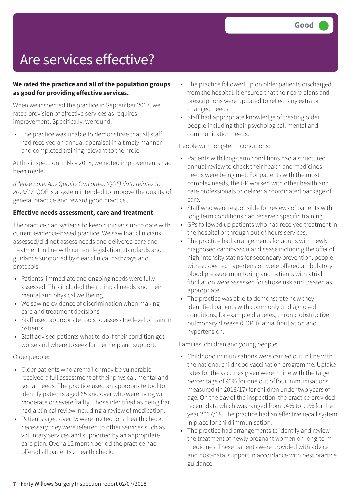### **We rated the practice and all of the population groups as good for providing effective services.**

When we inspected the practice in September 2017, we rated provision of effective services as requires improvement. Specifically, we found:

• The practice was unable to demonstrate that all staff had received an annual appraisal in a timely manner and completed training relevant to their role.

At this inspection in May 2018, we noted improvements had been made.

*(Please note: Any Quality Outcomes(QOF) data relatesto 2016/17.* QOF is a system intended to improve the quality of general practice and reward good practice.*)*

### **Effective needs assessment, care and treatment**

The practice had systems to keep clinicians up to date with current evidence-based practice. We saw that clinicians assessed/did not assess needs and delivered care and treatment in line with current legislation, standards and guidance supported by clear clinical pathways and protocols.

- Patients' immediate and ongoing needs were fully assessed. This included their clinical needs and their mental and physical wellbeing.
- We saw no evidence of discrimination when making care and treatment decisions.
- Staff used appropriate tools to assess the level of pain in patients.
- Staff advised patients what to do if their condition got worse and where to seek further help and support.

### Older people:

- Older patients who are frail or may be vulnerable received a full assessment of their physical, mental and social needs. The practice used an appropriate tool to identify patients aged 65 and over who were living with moderate or severe frailty. Those identified as being frail had a clinical review including a review of medication.
- Patients aged over 75 were invited for a health check. If necessary they were referred to other services such as voluntary services and supported by an appropriate care plan. Over a 12 month period the practice had offered all patients a health check.
- The practice followed up on older patients discharged from the hospital. It ensured that their care plans and prescriptions were updated to reflect any extra or changed needs.
- Staff had appropriate knowledge of treating older people including their psychological, mental and communication needs.

People with long-term conditions:

- Patients with long-term conditions had a structured annual review to check their health and medicines needs were being met. For patients with the most complex needs, the GP worked with other health and care professionals to deliver a coordinated package of care.
- Staff who were responsible for reviews of patients with long term conditions had received specific training.
- GPs followed up patients who had received treatment in the hospital or through out of hours services.
- The practice had arrangements for adults with newly diagnosed cardiovascular disease including the offer of high-intensity statins for secondary prevention, people with suspected hypertension were offered ambulatory blood pressure monitoring and patients with atrial fibrillation were assessed for stroke risk and treated as appropriate.
- The practice was able to demonstrate how they identified patients with commonly undiagnosed conditions, for example diabetes, chronic obstructive pulmonary disease (COPD), atrial fibrillation and hypertension.

Families, children and young people:

- Childhood immunisations were carried out in line with the national childhood vaccination programme. Uptake rates for the vaccines given were in line with the target percentage of 90% for one out of four immunisations measured (in 2016/17) for children under two years of age. On the day of the inspection, the practice provided recent data which was ranged from 94% to 99% for the year 2017/18. The practice had an effective recall system in place for child immunisation.
- The practice had arrangements to identify and review the treatment of newly pregnant women on long-term medicines. These patients were provided with advice and post-natal support in accordance with best practice guidance.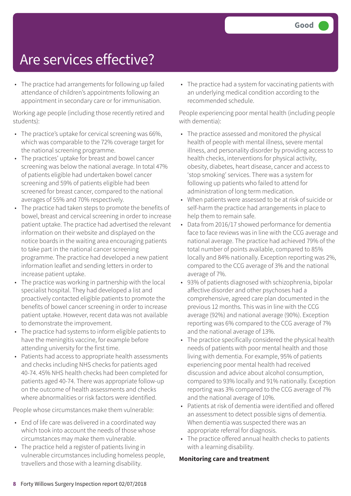• The practice had arrangements for following up failed attendance of children's appointments following an appointment in secondary care or for immunisation.

Working age people (including those recently retired and students):

- The practice's uptake for cervical screening was 66%, which was comparable to the 72% coverage target for the national screening programme.
- The practices' uptake for breast and bowel cancer screening was below the national average. In total 47% of patients eligible had undertaken bowel cancer screening and 59% of patients eligible had been screened for breast cancer, compared to the national averages of 55% and 70% respectively.
- The practice had taken steps to promote the benefits of bowel, breast and cervical screening in order to increase patient uptake. The practice had advertised the relevant information on their website and displayed on the notice boards in the waiting area encouraging patients to take part in the national cancer screening programme. The practice had developed a new patient information leaflet and sending letters in order to increase patient uptake.
- The practice was working in partnership with the local specialist hospital. They had developed a list and proactively contacted eligible patients to promote the benefits of bowel cancer screening in order to increase patient uptake. However, recent data was not available to demonstrate the improvement.
- The practice had systems to inform eligible patients to have the meningitis vaccine, for example before attending university for the first time.
- Patients had access to appropriate health assessments and checks including NHS checks for patients aged 40-74. 45% NHS health checks had been completed for patients aged 40-74. There was appropriate follow-up on the outcome of health assessments and checks where abnormalities or risk factors were identified.

People whose circumstances make them vulnerable:

- End of life care was delivered in a coordinated way which took into account the needs of those whose circumstances may make them vulnerable.
- The practice held a register of patients living in vulnerable circumstances including homeless people, travellers and those with a learning disability.

• The practice had a system for vaccinating patients with an underlying medical condition according to the recommended schedule.

People experiencing poor mental health (including people with dementia):

- The practice assessed and monitored the physical health of people with mental illness, severe mental illness, and personality disorder by providing access to health checks, interventions for physical activity, obesity, diabetes, heart disease, cancer and access to 'stop smoking' services. There was a system for following up patients who failed to attend for administration of long term medication.
- When patients were assessed to be at risk of suicide or self-harm the practice had arrangements in place to help them to remain safe.
- Data from 2016/17 showed performance for dementia face to face reviews was in line with the CCG average and national average. The practice had achieved 79% of the total number of points available, compared to 85% locally and 84% nationally. Exception reporting was 2%, compared to the CCG average of 3% and the national average of 7%.
- 93% of patients diagnosed with schizophrenia, bipolar affective disorder and other psychoses had a comprehensive, agreed care plan documented in the previous 12 months. This was in line with the CCG average (92%) and national average (90%). Exception reporting was 6% compared to the CCG average of 7% and the national average of 13%.
- The practice specifically considered the physical health needs of patients with poor mental health and those living with dementia. For example, 95% of patients experiencing poor mental health had received discussion and advice about alcohol consumption, compared to 93% locally and 91% nationally. Exception reporting was 3% compared to the CCG average of 7% and the national average of 10%.
- Patients at risk of dementia were identified and offered an assessment to detect possible signs of dementia. When dementia was suspected there was an appropriate referral for diagnosis.
- The practice offered annual health checks to patients with a learning disability.

### **Monitoring care and treatment**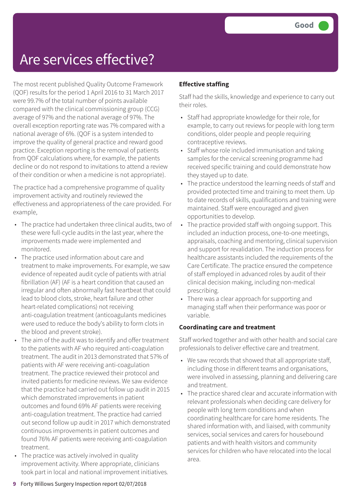The most recent published Quality Outcome Framework (QOF) results for the period 1 April 2016 to 31 March 2017 were 99.7% of the total number of points available compared with the clinical commissioning group (CCG) average of 97% and the national average of 97%. The overall exception reporting rate was 7% compared with a national average of 6%. (QOF is a system intended to improve the quality of general practice and reward good practice. Exception reporting is the removal of patients from QOF calculations where, for example, the patients decline or do not respond to invitations to attend a review of their condition or when a medicine is not appropriate).

The practice had a comprehensive programme of quality improvement activity and routinely reviewed the effectiveness and appropriateness of the care provided. For example,

- The practice had undertaken three clinical audits, two of these were full-cycle audits in the last year, where the improvements made were implemented and monitored.
- The practice used information about care and treatment to make improvements. For example, we saw evidence of repeated audit cycle of patients with atrial fibrillation (AF) (AF is a heart condition that caused an irregular and often abnormally fast heartbeat that could lead to blood clots, stroke, heart failure and other heart-related complications) not receiving anti-coagulation treatment (anticoagulants medicines were used to reduce the body's ability to form clots in the blood and prevent stroke).
- The aim of the audit was to identify and offer treatment to the patients with AF who required anti-coagulation treatment. The audit in 2013 demonstrated that 57% of patients with AF were receiving anti-coagulation treatment. The practice reviewed their protocol and invited patients for medicine reviews. We saw evidence that the practice had carried out follow up audit in 2015 which demonstrated improvements in patient outcomes and found 69% AF patients were receiving anti-coagulation treatment. The practice had carried out second follow up audit in 2017 which demonstrated continuous improvements in patient outcomes and found 76% AF patients were receiving anti-coagulation treatment.
- The practice was actively involved in quality improvement activity. Where appropriate, clinicians took part in local and national improvement initiatives*.*

### **Effective staffing**

Staff had the skills, knowledge and experience to carry out their roles.

- Staff had appropriate knowledge for their role, for example, to carry out reviews for people with long term conditions, older people and people requiring contraceptive reviews.
- Staff whose role included immunisation and taking samples for the cervical screening programme had received specific training and could demonstrate how they stayed up to date.
- The practice understood the learning needs of staff and provided protected time and training to meet them. Up to date records of skills, qualifications and training were maintained. Staff were encouraged and given opportunities to develop.
- The practice provided staff with ongoing support. This included an induction process, one-to-one meetings, appraisals, coaching and mentoring, clinical supervision and support for revalidation. The induction process for healthcare assistants included the requirements of the Care Certificate. The practice ensured the competence of staff employed in advanced roles by audit of their clinical decision making, including non-medical prescribing.
- There was a clear approach for supporting and managing staff when their performance was poor or variable.

### **Coordinating care and treatment**

Staff worked together and with other health and social care professionals to deliver effective care and treatment.

- We saw records that showed that all appropriate staff, including those in different teams and organisations, were involved in assessing, planning and delivering care and treatment.
- The practice shared clear and accurate information with relevant professionals when deciding care delivery for people with long term conditions and when coordinating healthcare for care home residents. The shared information with, and liaised, with community services, social services and carers for housebound patients and with health visitors and community services for children who have relocated into the local area.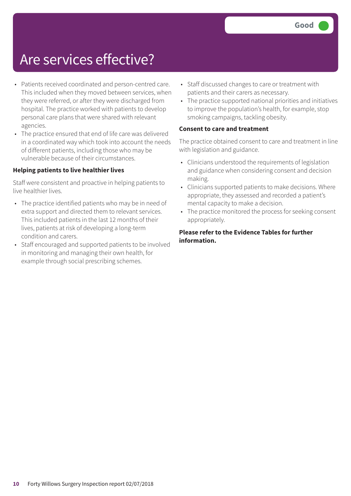- Patients received coordinated and person-centred care. This included when they moved between services, when they were referred, or after they were discharged from hospital. The practice worked with patients to develop personal care plans that were shared with relevant agencies.
- The practice ensured that end of life care was delivered in a coordinated way which took into account the needs of different patients, including those who may be vulnerable because of their circumstances.

### **Helping patients to live healthier lives**

Staff were consistent and proactive in helping patients to live healthier lives.

- The practice identified patients who may be in need of extra support and directed them to relevant services. This included patients in the last 12 months of their lives, patients at risk of developing a long-term condition and carers.
- Staff encouraged and supported patients to be involved in monitoring and managing their own health, for example through social prescribing schemes.
- Staff discussed changes to care or treatment with patients and their carers as necessary.
- The practice supported national priorities and initiatives to improve the population's health, for example, stop smoking campaigns, tackling obesity.

### **Consent to care and treatment**

The practice obtained consent to care and treatment in line with legislation and guidance.

- Clinicians understood the requirements of legislation and guidance when considering consent and decision making.
- Clinicians supported patients to make decisions. Where appropriate, they assessed and recorded a patient's mental capacity to make a decision.
- The practice monitored the process for seeking consent appropriately.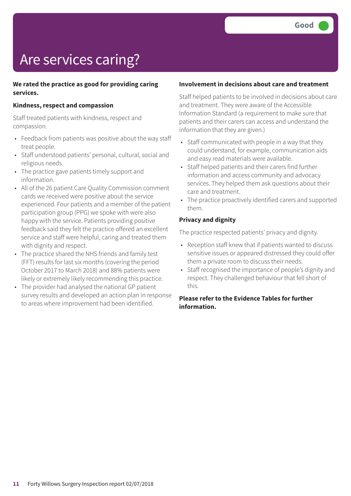# Are services caring?

### **We rated the practice as good for providing caring services.**

### **Kindness, respect and compassion**

Staff treated patients with kindness, respect and compassion.

- Feedback from patients was positive about the way staff treat people.
- Staff understood patients' personal, cultural, social and religious needs.
- The practice gave patients timely support and information.
- All of the 26 patient Care Quality Commission comment cards we received were positive about the service experienced. Four patients and a member of the patient participation group (PPG) we spoke with were also happy with the service. Patients providing positive feedback said they felt the practice offered an excellent service and staff were helpful, caring and treated them with dignity and respect.
- The practice shared the NHS friends and family test (FFT) results for last six months (covering the period October 2017 to March 2018) and 88% patients were likely or extremely likely recommending this practice.
- The provider had analysed the national GP patient survey results and developed an action plan in response to areas where improvement had been identified.

### **Involvement in decisions about care and treatment**

Staff helped patients to be involved in decisions about care and treatment. They were aware of the Accessible Information Standard (a requirement to make sure that patients and their carers can access and understand the information that they are given.)

- Staff communicated with people in a way that they could understand, for example, communication aids and easy read materials were available.
- Staff helped patients and their carers find further information and access community and advocacy services. They helped them ask questions about their care and treatment.
- The practice proactively identified carers and supported them.

### **Privacy and dignity**

The practice respected patients' privacy and dignity.

- Reception staff knew that if patients wanted to discuss sensitive issues or appeared distressed they could offer them a private room to discuss their needs.
- Staff recognised the importance of people's dignity and respect. They challenged behaviour that fell short of this.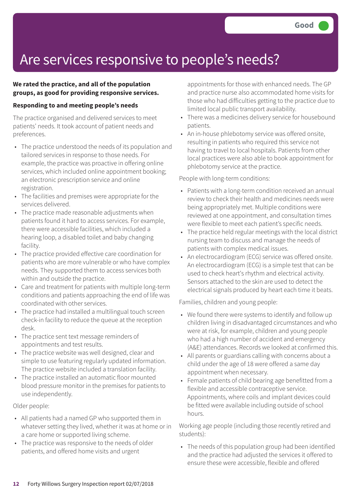# Are services responsive to people's needs?

### **We rated the practice, and all of the population groups, as good for providing responsive services.**

### **Responding to and meeting people's needs**

The practice organised and delivered services to meet patients' needs. It took account of patient needs and preferences.

- The practice understood the needs of its population and tailored services in response to those needs. For example, the practice was proactive in offering online services, which included online appointment booking; an electronic prescription service and online registration.
- The facilities and premises were appropriate for the services delivered.
- The practice made reasonable adjustments when patients found it hard to access services. For example, there were accessible facilities, which included a hearing loop, a disabled toilet and baby changing facility.
- The practice provided effective care coordination for patients who are more vulnerable or who have complex needs. They supported them to access services both within and outside the practice.
- Care and treatment for patients with multiple long-term conditions and patients approaching the end of life was coordinated with other services.
- The practice had installed a multilingual touch screen check-in facility to reduce the queue at the reception desk.
- The practice sent text message reminders of appointments and test results.
- The practice website was well designed, clear and simple to use featuring regularly updated information. The practice website included a translation facility.
- The practice installed an automatic floor mounted blood pressure monitor in the premises for patients to use independently.

Older people:

- All patients had a named GP who supported them in whatever setting they lived, whether it was at home or in a care home or supported living scheme.
- The practice was responsive to the needs of older patients, and offered home visits and urgent

appointments for those with enhanced needs. The GP and practice nurse also accommodated home visits for those who had difficulties getting to the practice due to limited local public transport availability.

- There was a medicines delivery service for housebound patients.
- An in-house phlebotomy service was offered onsite, resulting in patients who required this service not having to travel to local hospitals. Patients from other local practices were also able to book appointment for phlebotomy service at the practice.

People with long-term conditions:

- Patients with a long-term condition received an annual review to check their health and medicines needs were being appropriately met. Multiple conditions were reviewed at one appointment, and consultation times were flexible to meet each patient's specific needs.
- The practice held regular meetings with the local district nursing team to discuss and manage the needs of patients with complex medical issues.
- An electrocardiogram (ECG) service was offered onsite. An electrocardiogram (ECG) is a simple test that can be used to check heart's rhythm and electrical activity. Sensors attached to the skin are used to detect the electrical signals produced by heart each time it beats.

Families, children and young people:

- We found there were systems to identify and follow up children living in disadvantaged circumstances and who were at risk, for example, children and young people who had a high number of accident and emergency (A&E) attendances. Records we looked at confirmed this.
- All parents or guardians calling with concerns about a child under the age of 18 were offered a same day appointment when necessary.
- Female patients of child bearing age benefitted from a flexible and accessible contraceptive service. Appointments, where coils and implant devices could be fitted were available including outside of school hours.

Working age people (including those recently retired and students):

• The needs of this population group had been identified and the practice had adjusted the services it offered to ensure these were accessible, flexible and offered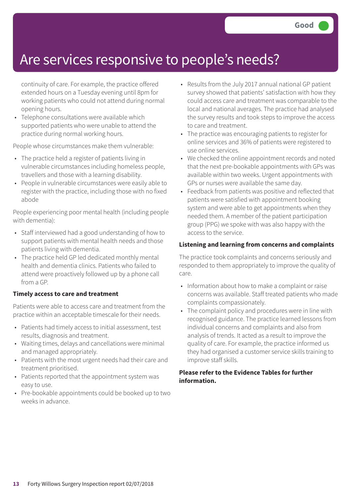# Are services responsive to people's needs?

continuity of care. For example, the practice offered extended hours on a Tuesday evening until 8pm for working patients who could not attend during normal opening hours.

• Telephone consultations were available which supported patients who were unable to attend the practice during normal working hours.

People whose circumstances make them vulnerable:

- The practice held a register of patients living in vulnerable circumstances including homeless people, travellers and those with a learning disability.
- People in vulnerable circumstances were easily able to register with the practice, including those with no fixed abode

People experiencing poor mental health (including people with dementia):

- Staff interviewed had a good understanding of how to support patients with mental health needs and those patients living with dementia.
- The practice held GP led dedicated monthly mental health and dementia clinics. Patients who failed to attend were proactively followed up by a phone call from a GP.

### **Timely access to care and treatment**

Patients were able to access care and treatment from the practice within an acceptable timescale for their needs.

- Patients had timely access to initial assessment, test results, diagnosis and treatment.
- Waiting times, delays and cancellations were minimal and managed appropriately.
- Patients with the most urgent needs had their care and treatment prioritised.
- Patients reported that the appointment system was easy to use.
- Pre-bookable appointments could be booked up to two weeks in advance.
- Results from the July 2017 annual national GP patient survey showed that patients' satisfaction with how they could access care and treatment was comparable to the local and national averages. The practice had analysed the survey results and took steps to improve the access to care and treatment.
- The practice was encouraging patients to register for online services and 36% of patients were registered to use online services.
- We checked the online appointment records and noted that the next pre-bookable appointments with GPs was available within two weeks. Urgent appointments with GPs or nurses were available the same day.
- Feedback from patients was positive and reflected that patients were satisfied with appointment booking system and were able to get appointments when they needed them. A member of the patient participation group (PPG) we spoke with was also happy with the access to the service.

### **Listening and learning from concerns and complaints**

The practice took complaints and concerns seriously and responded to them appropriately to improve the quality of care.

- Information about how to make a complaint or raise concerns was available. Staff treated patients who made complaints compassionately.
- The complaint policy and procedures were in line with recognised guidance. The practice learned lessons from individual concerns and complaints and also from analysis of trends. It acted as a result to improve the quality of care. For example, the practice informed us they had organised a customer service skills training to improve staff skills.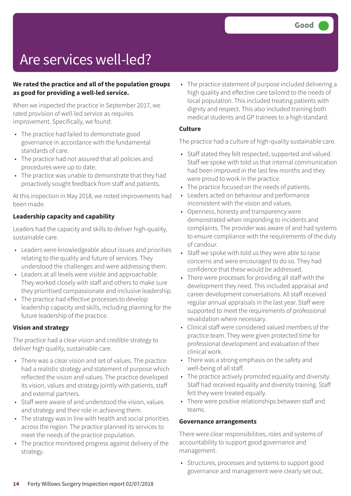# Are services well-led?

### **We rated the practice and all of the population groups as good for providing a well-led service.**

When we inspected the practice in September 2017, we rated provision of well-led service as requires improvement. Specifically, we found:

- The practice had failed to demonstrate good governance in accordance with the fundamental standards of care.
- The practice had not assured that all policies and procedures were up to date.
- The practice was unable to demonstrate that they had proactively sought feedback from staff and patients.

At this inspection in May 2018, we noted improvements had been made.

### **Leadership capacity and capability**

Leaders had the capacity and skills to deliver high-quality, sustainable care.

- Leaders were knowledgeable about issues and priorities relating to the quality and future of services. They understood the challenges and were addressing them.
- Leaders at all levels were visible and approachable. They worked closely with staff and others to make sure they prioritised compassionate and inclusive leadership.
- The practice had effective processes to develop leadership capacity and skills, including planning for the future leadership of the practice.

### **Vision and strategy**

The practice had a clear vision and credible strategy to deliver high quality, sustainable care.

- There was a clear vision and set of values. The practice had a realistic strategy and statement of purpose which reflected the vision and values. The practice developed its vision, values and strategy jointly with patients, staff and external partners.
- Staff were aware of and understood the vision, values and strategy and their role in achieving them.
- The strategy was in line with health and social priorities across the region. The practice planned its services to meet the needs of the practice population.
- The practice monitored progress against delivery of the strategy.

• The practice statement of purpose included delivering a high quality and effective care tailored to the needs of local population. This included treating patients with dignity and respect. This also included training both medical students and GP trainees to a high standard.

### **Culture**

The practice had a culture of high-quality sustainable care.

- Staff stated they felt respected, supported and valued. Staff we spoke with told us that internal communication had been improved in the last few months and they were proud to work in the practice.
- The practice focused on the needs of patients.
- Leaders acted on behaviour and performance inconsistent with the vision and values.
- Openness, honesty and transparency were demonstrated when responding to incidents and complaints. The provider was aware of and had systems to ensure compliance with the requirements of the duty of candour.
- Staff we spoke with told us they were able to raise concerns and were encouraged to do so. They had confidence that these would be addressed.
- There were processes for providing all staff with the development they need. This included appraisal and career development conversations. All staff received regular annual appraisals in the last year. Staff were supported to meet the requirements of professional revalidation where necessary.
- Clinical staff were considered valued members of the practice team. They were given protected time for professional development and evaluation of their clinical work.
- There was a strong emphasis on the safety and well-being of all staff.
- The practice actively promoted equality and diversity. Staff had received equality and diversity training. Staff felt they were treated equally.
- There were positive relationships between staff and teams.

### **Governance arrangements**

There were clear responsibilities, roles and systems of accountability to support good governance and management.

• Structures, processes and systems to support good governance and management were clearly set out,